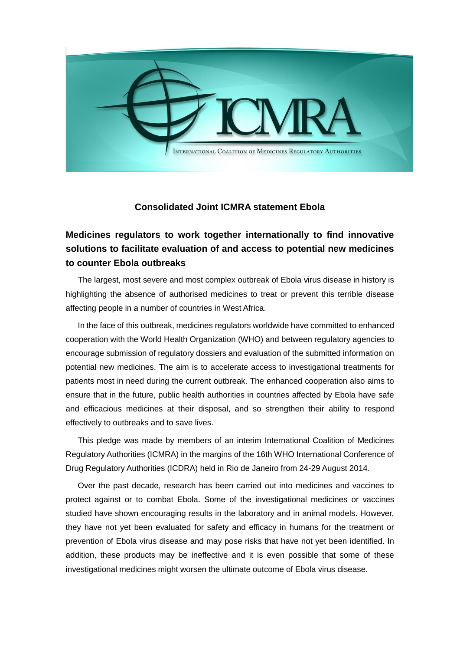

## **Consolidated Joint ICMRA statement Ebola**

# **Medicines regulators to work together internationally to find innovative solutions to facilitate evaluation of and access to potential new medicines to counter Ebola outbreaks**

The largest, most severe and most complex outbreak of Ebola virus disease in history is highlighting the absence of authorised medicines to treat or prevent this terrible disease affecting people in a number of countries in West Africa.

 In the face of this outbreak, medicines regulators worldwide have committed to enhanced cooperation with the World Health Organization (WHO) and between regulatory agencies to encourage submission of regulatory dossiers and evaluation of the submitted information on potential new medicines. The aim is to accelerate access to investigational treatments for patients most in need during the current outbreak. The enhanced cooperation also aims to ensure that in the future, public health authorities in countries affected by Ebola have safe and efficacious medicines at their disposal, and so strengthen their ability to respond effectively to outbreaks and to save lives.

 This pledge was made by members of an interim International Coalition of Medicines Regulatory Authorities (ICMRA) in the margins of the 16th WHO International Conference of Drug Regulatory Authorities (ICDRA) held in Rio de Janeiro from 24-29 August 2014.

 Over the past decade, research has been carried out into medicines and vaccines to protect against or to combat Ebola. Some of the investigational medicines or vaccines studied have shown encouraging results in the laboratory and in animal models. However, they have not yet been evaluated for safety and efficacy in humans for the treatment or prevention of Ebola virus disease and may pose risks that have not yet been identified. In addition, these products may be ineffective and it is even possible that some of these investigational medicines might worsen the ultimate outcome of Ebola virus disease.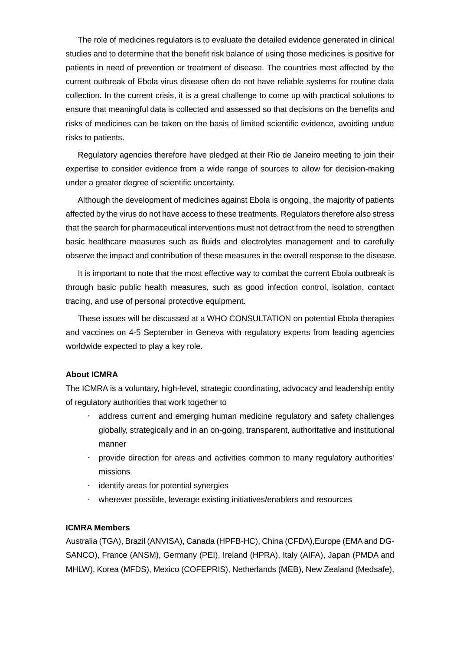The role of medicines regulators is to evaluate the detailed evidence generated in clinical studies and to determine that the benefit risk balance of using those medicines is positive for patients in need of prevention or treatment of disease. The countries most affected by the current outbreak of Ebola virus disease often do not have reliable systems for routine data collection. In the current crisis, it is a great challenge to come up with practical solutions to ensure that meaningful data is collected and assessed so that decisions on the benefits and risks of medicines can be taken on the basis of limited scientific evidence, avoiding undue risks to patients.

 Regulatory agencies therefore have pledged at their Rio de Janeiro meeting to join their expertise to consider evidence from a wide range of sources to allow for decision-making under a greater degree of scientific uncertainty.

 Although the development of medicines against Ebola is ongoing, the majority of patients affected by the virus do not have access to these treatments. Regulators therefore also stress that the search for pharmaceutical interventions must not detract from the need to strengthen basic healthcare measures such as fluids and electrolytes management and to carefully observe the impact and contribution of these measures in the overall response to the disease.

 It is important to note that the most effective way to combat the current Ebola outbreak is through basic public health measures, such as good infection control, isolation, contact tracing, and use of personal protective equipment.

 These issues will be discussed at a WHO CONSULTATION on potential Ebola therapies and vaccines on 4-5 September in Geneva with regulatory experts from leading agencies worldwide expected to play a key role.

#### **About ICMRA**

The ICMRA is a voluntary, high-level, strategic coordinating, advocacy and leadership entity of regulatory authorities that work together to

- address current and emerging human medicine regulatory and safety challenges globally, strategically and in an on-going, transparent, authoritative and institutional manner
- provide direction for areas and activities common to many regulatory authorities' missions
- $\cdot$  identify areas for potential synergies
- wherever possible, leverage existing initiatives/enablers and resources

### **ICMRA Members**

Australia (TGA), Brazil (ANVISA), Canada (HPFB-HC), China (CFDA),Europe (EMA and DG-SANCO), France (ANSM), Germany (PEI), Ireland (HPRA), Italy (AIFA), Japan (PMDA and MHLW), Korea (MFDS), Mexico (COFEPRIS), Netherlands (MEB), New Zealand (Medsafe),